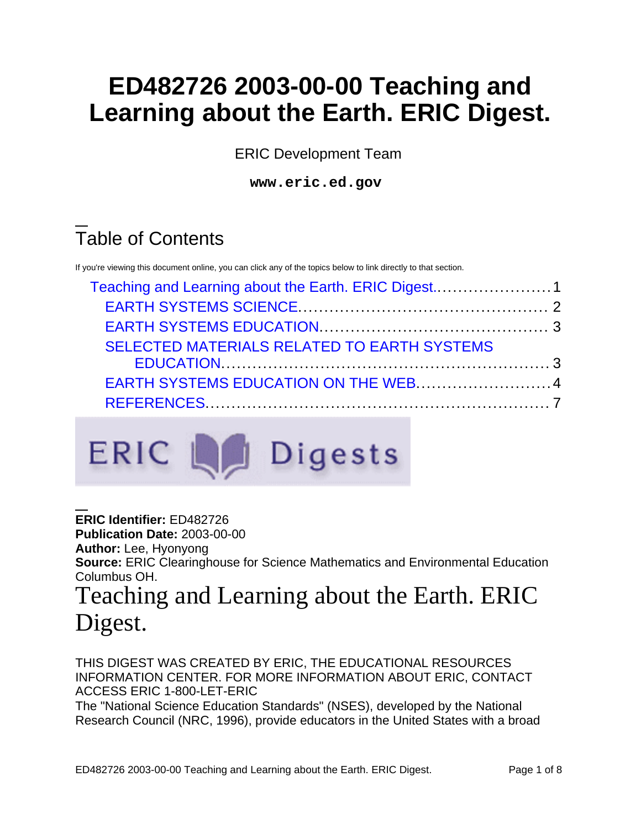# **ED482726 2003-00-00 Teaching and Learning about the Earth. ERIC Digest.**

ERIC Development Team

**www.eric.ed.gov**

# Table of Contents

If you're viewing this document online, you can click any of the topics below to link directly to that section.

| SELECTED MATERIALS RELATED TO EARTH SYSTEMS |  |
|---------------------------------------------|--|
|                                             |  |
| EARTH SYSTEMS EDUCATION ON THE WEB4         |  |
|                                             |  |
|                                             |  |



**ERIC Identifier:** ED482726 **Publication Date:** 2003-00-00 **Author:** Lee, Hyonyong **Source:** ERIC Clearinghouse for Science Mathematics and Environmental Education Columbus OH.

# <span id="page-0-0"></span>Teaching and Learning about the Earth. ERIC Digest.

THIS DIGEST WAS CREATED BY ERIC, THE EDUCATIONAL RESOURCES INFORMATION CENTER. FOR MORE INFORMATION ABOUT ERIC, CONTACT ACCESS ERIC 1-800-LET-ERIC

The "National Science Education Standards" (NSES), developed by the National Research Council (NRC, 1996), provide educators in the United States with a broad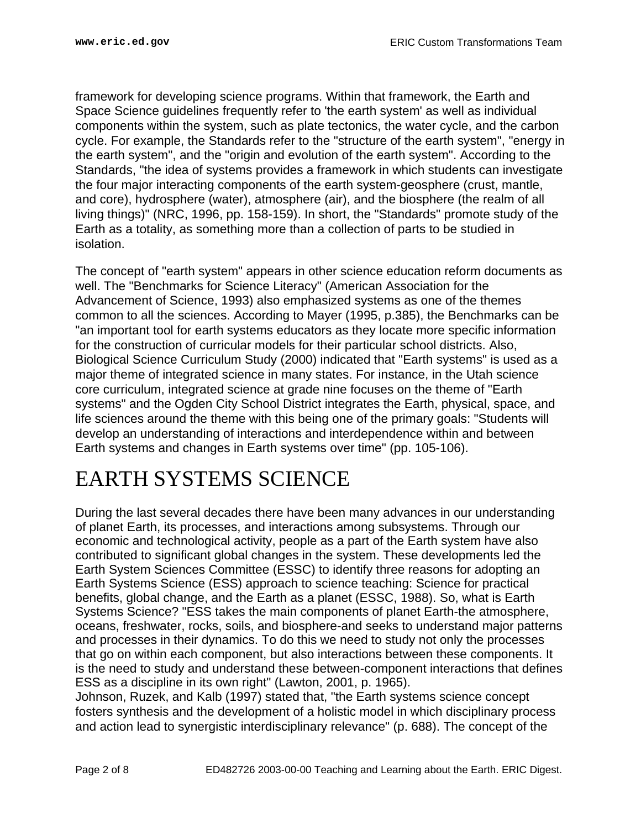framework for developing science programs. Within that framework, the Earth and Space Science guidelines frequently refer to 'the earth system' as well as individual components within the system, such as plate tectonics, the water cycle, and the carbon cycle. For example, the Standards refer to the "structure of the earth system", "energy in the earth system", and the "origin and evolution of the earth system". According to the Standards, "the idea of systems provides a framework in which students can investigate the four major interacting components of the earth system-geosphere (crust, mantle, and core), hydrosphere (water), atmosphere (air), and the biosphere (the realm of all living things)" (NRC, 1996, pp. 158-159). In short, the "Standards" promote study of the Earth as a totality, as something more than a collection of parts to be studied in isolation.

The concept of "earth system" appears in other science education reform documents as well. The "Benchmarks for Science Literacy" (American Association for the Advancement of Science, 1993) also emphasized systems as one of the themes common to all the sciences. According to Mayer (1995, p.385), the Benchmarks can be "an important tool for earth systems educators as they locate more specific information for the construction of curricular models for their particular school districts. Also, Biological Science Curriculum Study (2000) indicated that "Earth systems" is used as a major theme of integrated science in many states. For instance, in the Utah science core curriculum, integrated science at grade nine focuses on the theme of "Earth systems" and the Ogden City School District integrates the Earth, physical, space, and life sciences around the theme with this being one of the primary goals: "Students will develop an understanding of interactions and interdependence within and between Earth systems and changes in Earth systems over time" (pp. 105-106).

## <span id="page-1-0"></span>EARTH SYSTEMS SCIENCE

During the last several decades there have been many advances in our understanding of planet Earth, its processes, and interactions among subsystems. Through our economic and technological activity, people as a part of the Earth system have also contributed to significant global changes in the system. These developments led the Earth System Sciences Committee (ESSC) to identify three reasons for adopting an Earth Systems Science (ESS) approach to science teaching: Science for practical benefits, global change, and the Earth as a planet (ESSC, 1988). So, what is Earth Systems Science? "ESS takes the main components of planet Earth-the atmosphere, oceans, freshwater, rocks, soils, and biosphere-and seeks to understand major patterns and processes in their dynamics. To do this we need to study not only the processes that go on within each component, but also interactions between these components. It is the need to study and understand these between-component interactions that defines ESS as a discipline in its own right" (Lawton, 2001, p. 1965).

Johnson, Ruzek, and Kalb (1997) stated that, "the Earth systems science concept fosters synthesis and the development of a holistic model in which disciplinary process and action lead to synergistic interdisciplinary relevance" (p. 688). The concept of the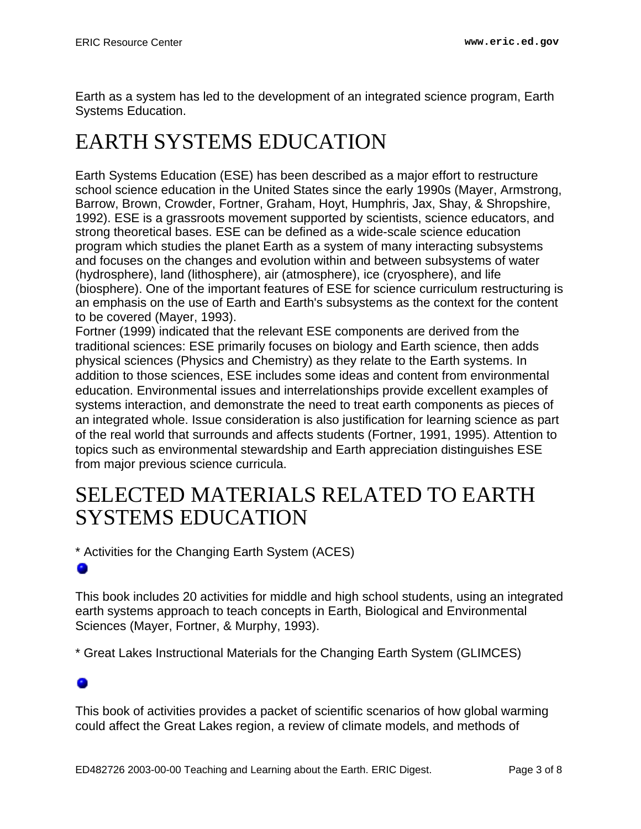Earth as a system has led to the development of an integrated science program, Earth Systems Education.

## <span id="page-2-0"></span>EARTH SYSTEMS EDUCATION

Earth Systems Education (ESE) has been described as a major effort to restructure school science education in the United States since the early 1990s (Mayer, Armstrong, Barrow, Brown, Crowder, Fortner, Graham, Hoyt, Humphris, Jax, Shay, & Shropshire, 1992). ESE is a grassroots movement supported by scientists, science educators, and strong theoretical bases. ESE can be defined as a wide-scale science education program which studies the planet Earth as a system of many interacting subsystems and focuses on the changes and evolution within and between subsystems of water (hydrosphere), land (lithosphere), air (atmosphere), ice (cryosphere), and life (biosphere). One of the important features of ESE for science curriculum restructuring is an emphasis on the use of Earth and Earth's subsystems as the context for the content to be covered (Mayer, 1993).

Fortner (1999) indicated that the relevant ESE components are derived from the traditional sciences: ESE primarily focuses on biology and Earth science, then adds physical sciences (Physics and Chemistry) as they relate to the Earth systems. In addition to those sciences, ESE includes some ideas and content from environmental education. Environmental issues and interrelationships provide excellent examples of systems interaction, and demonstrate the need to treat earth components as pieces of an integrated whole. Issue consideration is also justification for learning science as part of the real world that surrounds and affects students (Fortner, 1991, 1995). Attention to topics such as environmental stewardship and Earth appreciation distinguishes ESE from major previous science curricula.

## <span id="page-2-1"></span>SELECTED MATERIALS RELATED TO EARTH SYSTEMS EDUCATION

\* Activities for the Changing Earth System (ACES)

This book includes 20 activities for middle and high school students, using an integrated earth systems approach to teach concepts in Earth, Biological and Environmental Sciences (Mayer, Fortner, & Murphy, 1993).

\* Great Lakes Instructional Materials for the Changing Earth System (GLIMCES)

This book of activities provides a packet of scientific scenarios of how global warming could affect the Great Lakes region, a review of climate models, and methods of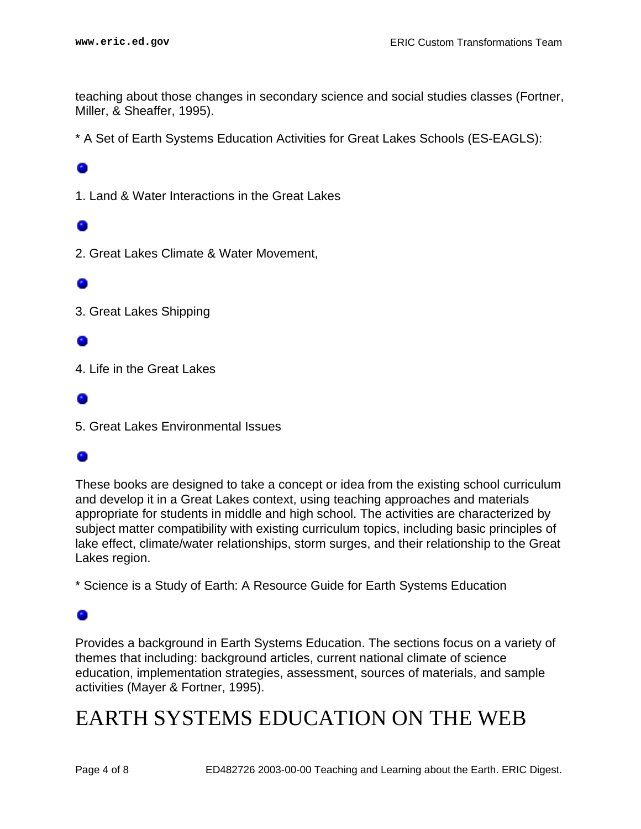teaching about those changes in secondary science and social studies classes (Fortner, Miller, & Sheaffer, 1995).

\* A Set of Earth Systems Education Activities for Great Lakes Schools (ES-EAGLS):

1. Land & Water Interactions in the Great Lakes

2. Great Lakes Climate & Water Movement,

3. Great Lakes Shipping

4. Life in the Great Lakes

5. Great Lakes Environmental Issues

## 0

These books are designed to take a concept or idea from the existing school curriculum and develop it in a Great Lakes context, using teaching approaches and materials appropriate for students in middle and high school. The activities are characterized by subject matter compatibility with existing curriculum topics, including basic principles of lake effect, climate/water relationships, storm surges, and their relationship to the Great Lakes region.

\* Science is a Study of Earth: A Resource Guide for Earth Systems Education

Provides a background in Earth Systems Education. The sections focus on a variety of themes that including: background articles, current national climate of science education, implementation strategies, assessment, sources of materials, and sample activities (Mayer & Fortner, 1995).

## <span id="page-3-0"></span>EARTH SYSTEMS EDUCATION ON THE WEB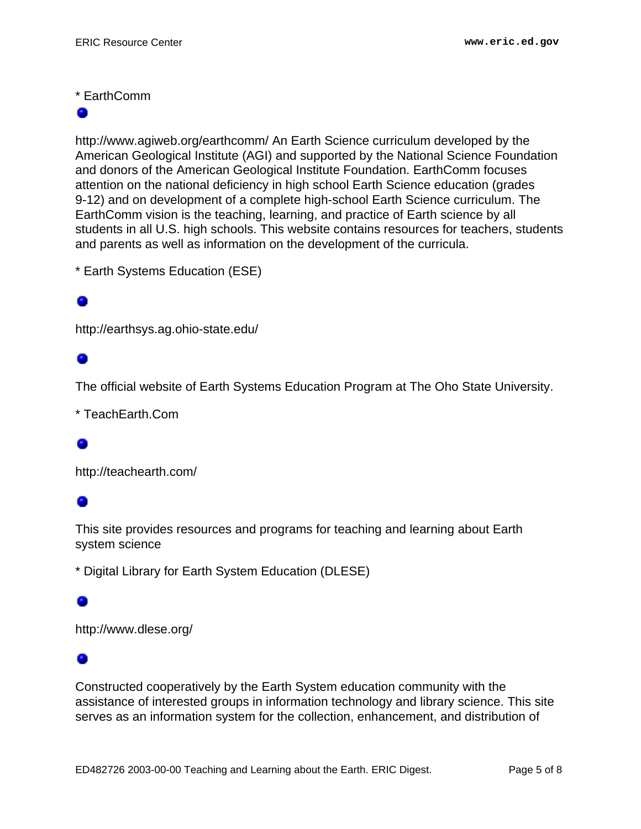## \* EarthComm

http://www.agiweb.org/earthcomm/ An Earth Science curriculum developed by the American Geological Institute (AGI) and supported by the National Science Foundation and donors of the American Geological Institute Foundation. EarthComm focuses attention on the national deficiency in high school Earth Science education (grades 9-12) and on development of a complete high-school Earth Science curriculum. The EarthComm vision is the teaching, learning, and practice of Earth science by all students in all U.S. high schools. This website contains resources for teachers, students and parents as well as information on the development of the curricula.

\* Earth Systems Education (ESE)

## o

http://earthsys.ag.ohio-state.edu/

The official website of Earth Systems Education Program at The Oho State University.

\* TeachEarth.Com

http://teachearth.com/

This site provides resources and programs for teaching and learning about Earth system science

\* Digital Library for Earth System Education (DLESE)

http://www.dlese.org/

Constructed cooperatively by the Earth System education community with the assistance of interested groups in information technology and library science. This site serves as an information system for the collection, enhancement, and distribution of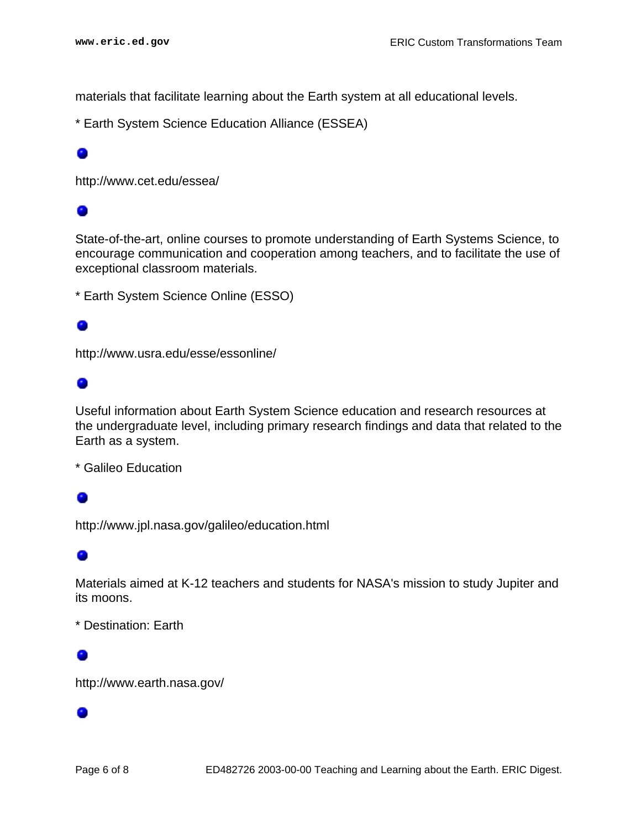materials that facilitate learning about the Earth system at all educational levels.

\* Earth System Science Education Alliance (ESSEA)

http://www.cet.edu/essea/

## ۰

State-of-the-art, online courses to promote understanding of Earth Systems Science, to encourage communication and cooperation among teachers, and to facilitate the use of exceptional classroom materials.

\* Earth System Science Online (ESSO)

http://www.usra.edu/esse/essonline/

## ۰

Useful information about Earth System Science education and research resources at the undergraduate level, including primary research findings and data that related to the Earth as a system.

\* Galileo Education

## ۰

http://www.jpl.nasa.gov/galileo/education.html

## ۰

Materials aimed at K-12 teachers and students for NASA's mission to study Jupiter and its moons.

\* Destination: Earth

## Ω

http://www.earth.nasa.gov/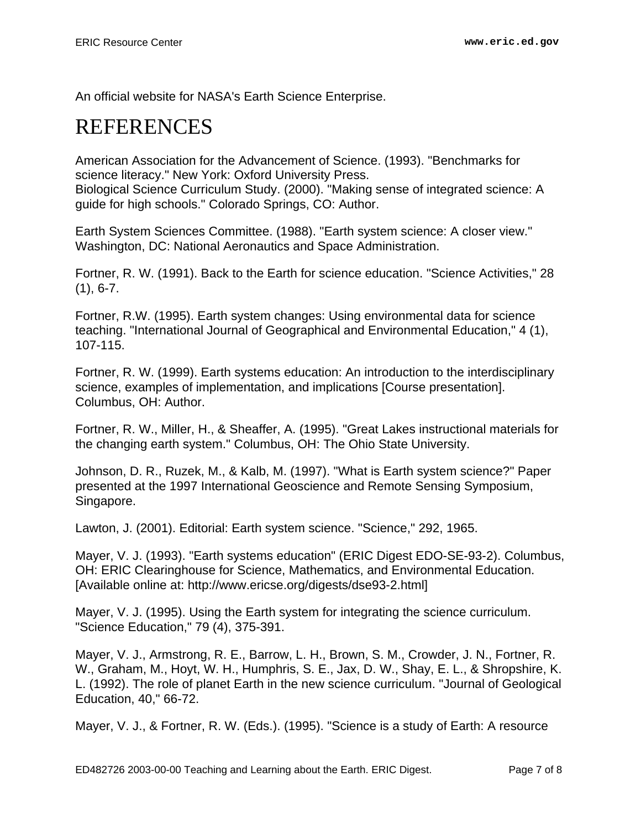An official website for NASA's Earth Science Enterprise.

## <span id="page-6-0"></span>REFERENCES

American Association for the Advancement of Science. (1993). "Benchmarks for science literacy." New York: Oxford University Press. Biological Science Curriculum Study. (2000). "Making sense of integrated science: A guide for high schools." Colorado Springs, CO: Author.

Earth System Sciences Committee. (1988). "Earth system science: A closer view." Washington, DC: National Aeronautics and Space Administration.

Fortner, R. W. (1991). Back to the Earth for science education. "Science Activities," 28  $(1), 6 - 7.$ 

Fortner, R.W. (1995). Earth system changes: Using environmental data for science teaching. "International Journal of Geographical and Environmental Education," 4 (1), 107-115.

Fortner, R. W. (1999). Earth systems education: An introduction to the interdisciplinary science, examples of implementation, and implications [Course presentation]. Columbus, OH: Author.

Fortner, R. W., Miller, H., & Sheaffer, A. (1995). "Great Lakes instructional materials for the changing earth system." Columbus, OH: The Ohio State University.

Johnson, D. R., Ruzek, M., & Kalb, M. (1997). "What is Earth system science?" Paper presented at the 1997 International Geoscience and Remote Sensing Symposium, Singapore.

Lawton, J. (2001). Editorial: Earth system science. "Science," 292, 1965.

Mayer, V. J. (1993). "Earth systems education" (ERIC Digest EDO-SE-93-2). Columbus, OH: ERIC Clearinghouse for Science, Mathematics, and Environmental Education. [Available online at: http://www.ericse.org/digests/dse93-2.html]

Mayer, V. J. (1995). Using the Earth system for integrating the science curriculum. "Science Education," 79 (4), 375-391.

Mayer, V. J., Armstrong, R. E., Barrow, L. H., Brown, S. M., Crowder, J. N., Fortner, R. W., Graham, M., Hoyt, W. H., Humphris, S. E., Jax, D. W., Shay, E. L., & Shropshire, K. L. (1992). The role of planet Earth in the new science curriculum. "Journal of Geological Education, 40," 66-72.

Mayer, V. J., & Fortner, R. W. (Eds.). (1995). "Science is a study of Earth: A resource